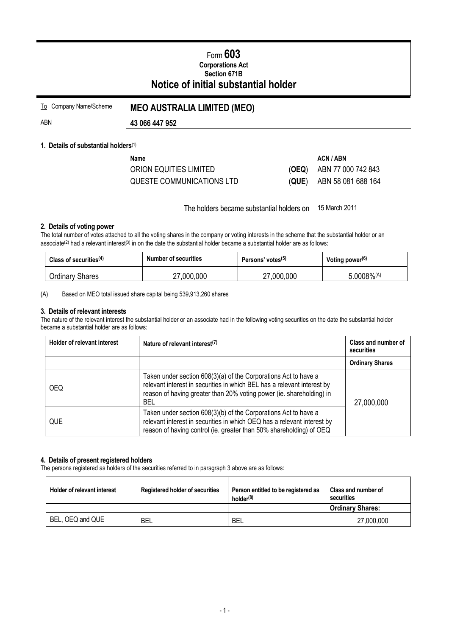# Form **603 Corporations Act Section 671B Notice of initial substantial holder**

| To Company Name/Scheme | <b>MEO AUSTRALIA LIMITED (MEO)</b> |  |
|------------------------|------------------------------------|--|
|                        |                                    |  |

# ABN **43 066 447 952**

### **1. Details of substantial holders**(1)

| Name                      |       | ACN / ABN          |
|---------------------------|-------|--------------------|
| ORION EQUITIES LIMITED    | (OEQ) | ABN 77 000 742 843 |
| QUESTE COMMUNICATIONS LTD | (QUE) | ABN 58 081 688 164 |

The holders became substantial holders on 15 March 2011

#### **2. Details of voting power**

The total number of votes attached to all the voting shares in the company or voting interests in the scheme that the substantial holder or an associate<sup>(2)</sup> had a relevant interest<sup>(3)</sup> in on the date the substantial holder became a substantial holder are as follows:

| Class of securities <sup>(4)</sup> | <b>Number of securities</b> | Persons' votes <sup>(5)</sup> | Voting power <sup>(6)</sup> |
|------------------------------------|-----------------------------|-------------------------------|-----------------------------|
| <b>Ordinary Shares</b>             | ,000,000                    | 27,000,000                    | $.0008\%(A)$                |

(A) Based on MEO total issued share capital being 539,913,260 shares

#### **3. Details of relevant interests**

The nature of the relevant interest the substantial holder or an associate had in the following voting securities on the date the substantial holder became a substantial holder are as follows:

| <b>Holder of relevant interest</b> | Nature of relevant interest <sup>(7)</sup>                                                                                                                                                                                       | Class and number of<br>securities |  |
|------------------------------------|----------------------------------------------------------------------------------------------------------------------------------------------------------------------------------------------------------------------------------|-----------------------------------|--|
|                                    |                                                                                                                                                                                                                                  | <b>Ordinary Shares</b>            |  |
| <b>OEQ</b>                         | Taken under section 608(3)(a) of the Corporations Act to have a<br>relevant interest in securities in which BEL has a relevant interest by<br>reason of having greater than 20% voting power (ie. shareholding) in<br><b>BEL</b> | 27,000,000                        |  |
| <b>QUE</b>                         | Taken under section 608(3)(b) of the Corporations Act to have a<br>relevant interest in securities in which OEQ has a relevant interest by<br>reason of having control (ie. greater than 50% shareholding) of OEQ                |                                   |  |

#### **4. Details of present registered holders**

The persons registered as holders of the securities referred to in paragraph 3 above are as follows:

| <b>Holder of relevant interest</b> | <b>Registered holder of securities</b> | Person entitled to be registered as<br>holder <sup>(8)</sup> | Class and number of<br>securities |
|------------------------------------|----------------------------------------|--------------------------------------------------------------|-----------------------------------|
|                                    |                                        |                                                              | <b>Ordinary Shares:</b>           |
| BEL, OEQ and QUE                   | BEL                                    | BEL                                                          | 27,000,000                        |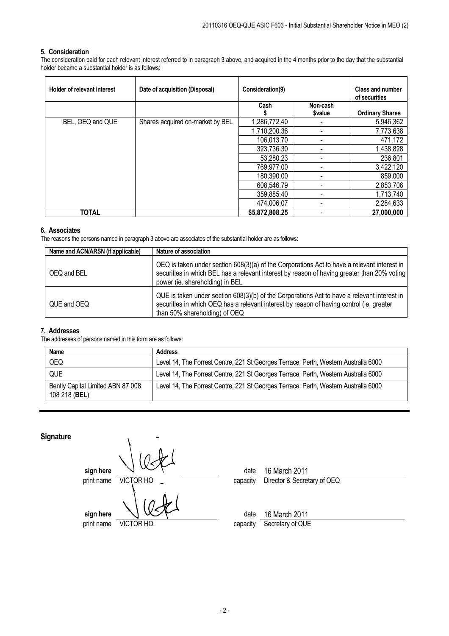#### **5. Consideration**

The consideration paid for each relevant interest referred to in paragraph 3 above, and acquired in the 4 months prior to the day that the substantial holder became a substantial holder is as follows:

| <b>Holder of relevant interest</b> | Date of acquisition (Disposal)   | Consideration(9) |               | <b>Class and number</b><br>of securities |
|------------------------------------|----------------------------------|------------------|---------------|------------------------------------------|
|                                    |                                  | Cash             | Non-cash      |                                          |
|                                    |                                  |                  | <b>Svalue</b> | <b>Ordinary Shares</b>                   |
| BEL, OEQ and QUE                   | Shares acquired on-market by BEL | 1,286,772.40     |               | 5,946,362                                |
|                                    |                                  | 1,710,200.36     |               | 7,773,638                                |
|                                    |                                  | 106,013.70       |               | 471,172                                  |
|                                    |                                  | 323,736.30       |               | 1,438,828                                |
|                                    |                                  | 53,280.23        |               | 236,801                                  |
|                                    |                                  | 769,977.00       |               | 3,422,120                                |
|                                    |                                  | 180,390.00       |               | 859,000                                  |
|                                    |                                  | 608,546.79       |               | 2,853,706                                |
|                                    |                                  | 359,885.40       |               | 1,713,740                                |
|                                    |                                  | 474,006.07       |               | 2,284,633                                |
| TOTAL                              |                                  | \$5,872,808.25   |               | 27,000,000                               |

#### **6. Associates**

The reasons the persons named in paragraph 3 above are associates of the substantial holder are as follows:

| Name and ACN/ARSN (if applicable) | Nature of association                                                                                                                                                                                                         |
|-----------------------------------|-------------------------------------------------------------------------------------------------------------------------------------------------------------------------------------------------------------------------------|
| OEQ and BEL                       | OEQ is taken under section 608(3)(a) of the Corporations Act to have a relevant interest in<br>securities in which BEL has a relevant interest by reason of having greater than 20% voting<br>power (ie. shareholding) in BEL |
| QUE and OEQ                       | QUE is taken under section 608(3)(b) of the Corporations Act to have a relevant interest in<br>securities in which OEQ has a relevant interest by reason of having control (ie. greater<br>than 50% shareholding) of OEQ      |

#### **7. Addresses**

The addresses of persons named in this form are as follows:

| <b>Name</b>                                        | <b>Address</b>                                                                      |
|----------------------------------------------------|-------------------------------------------------------------------------------------|
| <b>OEQ</b>                                         | Level 14, The Forrest Centre, 221 St Georges Terrace, Perth, Western Australia 6000 |
| QUE                                                | Level 14, The Forrest Centre, 221 St Georges Terrace, Perth, Western Australia 6000 |
| Bently Capital Limited ABN 87 008<br>108 218 (BEL) | Level 14, The Forrest Centre, 221 St Georges Terrace, Perth, Western Australia 6000 |

## **Signature**

**sign here**  $\vee$   $\vee$   $\vee$  **date** 16 March 2011 print name VICTOR HO Capacity Director & Secretary of OEQ **sign here**  $\sqrt{X}$   $\sqrt{X}$  date 16 March 2011 print name VICTOR HO capacity Secretary of QUE